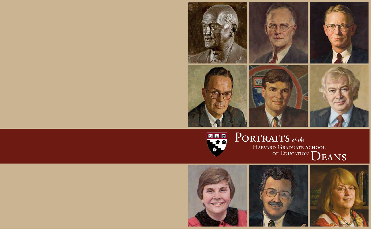

## PORTRAITS of the HARVARD GRADUATE SCHOOL TVE TRI TASE  $\overline{\mathbf{r}}$ OF EDUCATION DEANS

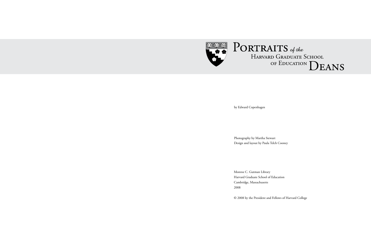

by Edward Copenhagen

Photography by Martha Stewart Design and layout by Paula Telch Cooney

Monroe C. Gutman Library Harvard Graduate School of Education Cambridge, Massachusetts 2008

© 2008 by the President and Fellows of Harvard College

# Harvard Graduate School OF EDUCATION  $\bf{D}$ EANS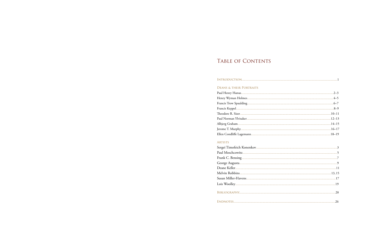## TABLE OF CONTENTS

#### 

### **DEANS & THEIR PORTRAITS**

### ARTISTS

| Sergei Timofeich Konenkov |
|---------------------------|
|                           |
|                           |
|                           |
|                           |
|                           |
|                           |
|                           |
|                           |
|                           |

| 14–15                   |  |
|-------------------------|--|
|                         |  |
| 16–17<br>18–19<br>18–19 |  |
|                         |  |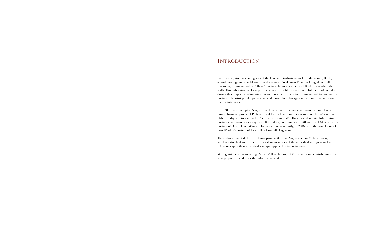### **INTRODUCTION**

Faculty, staff, students, and guests of the Harvard Graduate School of Education (HGSE) attend meetings and special events in the stately Eliot-Lyman Room in Longfellow Hall. In this room, commissioned or "official" portraits honoring nine past HGSE deans adorn the walls. This publication seeks to provide a concise profile of the accomplishments of each dean during their respective administration and documents the artist commissioned to produce the portrait. The artist profiles provide general biographical background and information about their artistic works.

In 1930, Russian sculptor, Sergei Konenkov, received the first commission to complete a bronze bas-relief profile of Professor Paul Henry Hanus on the occasion of Hanus' seventyfifth birthday and to serve as his "permanent memorial." Thus, precedent established future portrait commissions for every past HGSE dean, continuing in 1940 with Paul Moschcowitz's portrait of Dean Henry Wyman Holmes and most recently, in 2006, with the completion of Lois Woolley's portrait of Dean Ellen Condliffe Lagemann.

The author contacted the three living painters (George Augusta, Susan Miller-Havens, and Lois Woolley) and requested they share memories of the individual sittings as well as reflections upon their individually unique approaches to portraiture.

With gratitude we acknowledge Susan Miller-Havens, HGSE alumna and contributing artist, who proposed the idea for this informative work.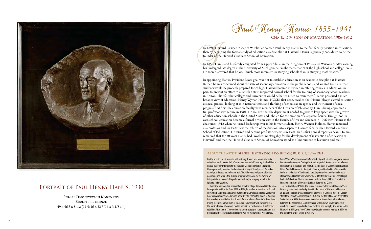

### PORTRAIT OF PAUL HENRY HANUS, 1930

CHAIR, DIVISION OF EDUCATION, 1906-1912

In 1859, Hanus and his family emigrated from Upper Silesia, in the Kingdom of Prussia, to Wisconsin. After earning his undergraduate degree at the University of Michigan, he taught mathematics at the high school and college levels. He soon discovered that he was "much more interested in studying schools than in studying mathematics."

In 1891, Harvard President Charles W. Eliot appointed Paul Henry Hanus to the first faculty position in education, thereby beginning the formal study of education as a discipline at Harvard. Hanus is generally considered to be the founder of the Harvard Graduate School of Education.

In appointing Hanus, President Eliot's goal was not to establish education as an academic discipline at Harvard. Rather, he was concerned about the state of secondary education in the public schools and wanted to ensure that students would be properly prepared for college. Harvard became interested in offering courses in education, in part, to prevent an effort to establish a state-supported normal school for the training of secondary school teachers in Boston. Eliot felt that colleges and universities would be better suited to train them.<sup>2</sup> Hanus possessed a much broader view of education. Henry Wyman Holmes, HGSE's first dean, recalled that Hanus "always viewed education as social process, looking at it in national terms and thinking of schools as an agency and instrument of social progress."<sup>3</sup> At first, the education faculty were members of the Division of Philosophy, Hanus being appointed a full professor with tenure in 1901. He realized that the department needed to grow to keep apace with the growth of other education schools in the United States and lobbied for the creation of a separate faculty. Though not its own school, education became a formal division within the Faculty of Arts and Sciences in 1906 with Hanus as the chair until 1912 when he turned leadership over to his former student, Henry Wyman Holmes. Hanus remained as a professor and, in 1920, saw the rebirth of the division into a separate Harvard faculty, the Harvard Graduate School of Education. He retired and became professor emeritus in 1921. In his first annual report as dean, Holmes remarked that for 30 years Hanus had "worked indefatigably for the development of instruction of education at Harvard" and that the Harvard Graduate School of Education stood as a "monument to his vision and zeal."<sup>4</sup>

On the occasion of his seventy-fifth birthday, friends and former students raised the funds to establish a "permanent memorial" to recognize Paul Henry Hanus' many contributions to the Harvard Graduate School of Education. Hanus personally selected the Russian artist Sergei Timofeyevich Konenkov to sculpt and cast a bas-relief portrait.<sup>5</sup> In addition to sculptures of Soviet politicians and artists, the Russian sculptor was known for his expressive interpretations in wood (his preferred medium) of imagery from Russian folklore and mysticism.

 Konenkov was born to a peasant family in the village Karakovichi in the Smolensk province of Russia. From 1892 to 1896, he studied at the Moscow School of Painting, Sculpture and Architecture under S.I. Ivanov and Sergei Volnukhin. Konenkov continued his education from 1899 to 1902 in the studio of Vladimir Beklemishev at the Higher Arts School of the Academy of Arts in St. Petersburg. During the Russian revolution of 1905, Konenkov stood with the workers at the barricades and afterwards created portraits of the heroes of this Moscow rebellion. After the 1917 revolution, he taught at several state studios and was politically active, participating in Lenin's Plan for Monumental Propaganda.

From 1924 to 1945, he resided in New York City with his wife, Margarita Ivanova Vorontsova Konenkova. During the American period, Konenkov accepted commissions from individuals and institutions. His busts of Supreme Court Justices Oliver Wendell Holmes, Jr., Benjamin Cardozo, and Harlan Fiske Stone reside in the art collection of the United States Supreme Court. Additionally, busts of Holmes and Cardozo were commissioned for the Harvard Law School Legal Portraits Collection. Other commissions include those of Albert Einstein for Princeton's Institute of Advance Study and actress Ina Claire.

 At the invitation of Stalin, the couple returned to the Soviet Union in 1945. He was given a studio on Gorky Street in the center of Moscow and became an acclaimed Soviet artist. He received the Order of Lenin in 1956, the Golden Star of the Hero of Socialist Labor in 1964, and the title of People's Artist of the Soviet Union in 1958. Konenkov remained an active sculptor who delicately balanced the demands of socialist realism with his own private projects in which he explored subjects of a more mythical and metaphysical nature. After his death in 1971, the Sergei T. Konenkov Studio-Museum opened in 1974 on the site of the artist's studio in Moscow.

#### About the Artist: Sergei Timofeyevich Konenkov, Russian, 1874–1971

Sergei Timofeyevich Konenkov Sculpture, bronze 49 x 56.3 x 8 cm (19 5/16 x 22 3/16 x 3 1/8 in.)

Saul Henry Hanus, 1855-1941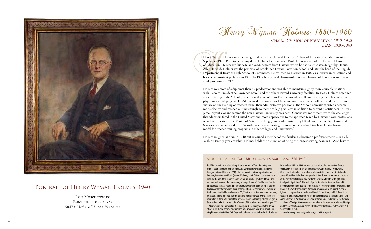Holmes was more of a diplomat than his predecessor and was able to maintain slightly more amicable relations with Harvard President A. Lawrence Lowell and the other Harvard University faculties. In 1927, Holmes organized a restructuring of the School that addressed some of Lowell's concerns while still emphasizing the role education played in societal progress. HGSE's revised mission stressed full-time over part-time enrollment and focused more sharply on the training of teachers rather than administrative positions. The School's admissions criteria became more selective and reached out increasingly to recent college graduates in addition to current practitioners. In 1933, James Bryant Conant became the new Harvard University president. Conant was more receptive to the challenges that educators faced in the United States and more appreciative to the approach taken by Harvard's own professional school of education. The Master of Arts in Teaching (jointly administered by HGSE and the Faculty of Arts and Sciences) was established in 1936 with the aim of educating future secondary school teachers. It later became a model for teacher training programs in other colleges and universities.<sup>6</sup>

Henry Wyman Holmes was the inaugural dean at the Harvard Graduate School of Education's establishment in September 1920. Prior to becoming dean, Holmes had succeeded Paul Hanus as chair of the Harvard Division of Education. He received his A.B. and A.M. degrees from Harvard where he had taken classes taught by Hanus. After Harvard, Holmes was the principal of Brookline's Edward Devotion School and later the head of the English Department at Boston's High School of Commerce. He returned to Harvard in 1907 as a lecturer in education and became an assistant professor in 1910. In 1912 he assumed chairmanship of the Division of Education and became a full professor in 1917.

Holmes resigned as dean in 1940 but remained a member of the faculty. He became a professor emeritus in 1947. With his twenty-year deanship, Holmes holds the distinction of being the longest serving dean in HGSE's history.

Paul Moschcowitz Painting, oil on canvas 90.17 x 74.93 cm (35 1/2 x 29 1/2 in.)

Paul Moschcowitz was selected to paint the portrait of Dean Henry Wyman Holmes upon the recommendation of Alice Vanderbilt Morris (a Radcliffe College graduate and friend of HGSE). $^7$  He had recently painted a portrait of her husband, Dave Hennan Morris (Harvard College, 1896).<sup>8</sup> Moschcowitz was very enthusiastic about the commission as his son-in-law had graduated from HGSE and was well aware of the dean's many accomplishments. $^{\circ}$  The Harvard Chapter of Pi Lambda Theta, a national honor society for women in education, raised the funds necessary for the commission of the painting. The portrait was unveiled at the Harvard Faculty Club on December 11, 1940. In his first annual report as dean, Francis Spaulding reflected that the painting would be prized by the School "because of its faithful reflection of the personal charm and dignity which have given Dean Holmes a lasting place in the affection of his students and his colleagues."<sup>10</sup> Moschcowitz was born in Giralt, Hungary, in 1876, immigrated to the United States in 1881, and became a naturalized American citizen in 1898. After beginning his education in New York City's night schools, he studied at the Art Student's League from 1894 to 1898. He took courses with Julian Alden Weir, George Willoughby Maynard, Henry Siddons Mowbray, and others.<sup>11</sup> Afterwards, Moschcowitz attended the Academie Julienne in Paris and also studied under James McNeill Whistler. Returning to the United States, he became an instructor at the Art Students League and the Pratt Institute. At Pratt, he taught classes in oil portrait painting.<sup>12</sup> The bulk of professional activities were devoted to portraiture though he also did some murals. His work included portraits of Kermit Roosevelt, Dave Hennan Morris (American ambassador to Belgium), Austin S. Iglehart (vice president of the General Foods Corporation), and T. Suffern Tailer (socialite and amateur golfer). His works were exhibited at the Paris Salon, Concoran Galleries in Washington, D.C., and at the annual exhibitions of the National Academy of Design. Moscowitz was a member of the National Academy of Design and the Society of American Artists. He also served as trustee to the Artists' Aid Society of New York. Moschcowitz passed away on January 4, 1942, at age 66.

## Henry Wyman Holmes, 1880-1960

CHAIR, DIVISION OF EDUCATION, 1912-1920 DEAN. 1920-1940

### About the Artist: Paul Moschcowitz, American, 1876–1942



### Portrait of Henry Wyman Holmes, 1940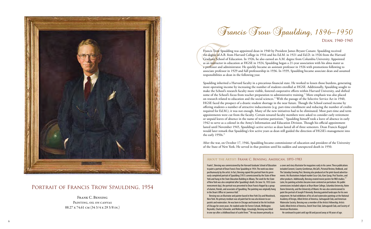# Francis Trow Spaulding, 1896-1950

DEAN. 1940-1945

Spaulding inherited a Harvard faculty in a precarious financial state. He worked to lessen those burdens, generating more operating income by increasing the number of students enrolled at HGSE. Additionally, Spaulding sought to make the School's research faculty more visible, fostered cooperative efforts within Harvard University, and shifted some of the School's focus from teacher preparation to administrative training.<sup>13</sup> More emphasis was also placed on research related to education and the social sciences.<sup>14</sup> With the passage of the Selective Service Act in 1940, HGSE faced the prospect of a drastic student shortage in the near future. Though the School earned income by offering students a number of attractive inducements (e.g. part-time enrollment and reducing the number of credits required for Ed.M.), it was not enough. Many of the new initiatives had to be eliminated. Most part-time and term appointments were cut from the faculty. Certain tenured faculty members were asked to consider early retirement or unpaid leaves of absence in the name of wartime patriotism.<sup>15</sup> Spaulding himself took a leave of absence in early 1942 to serve as a colonel in the Army's Information and Education Division. Though his official appointment lasted until November 1945, Spaulding's active service as dean lasted all of three semesters. Dean Francis Keppel would later remark that Spaulding's few active years as dean still guided the direction of HGSE's management into the early  $1950s.<sup>16</sup>$ 

Francis Trow Spaulding was appointed dean in 1940 by President James Bryant Conant. Spaulding received the degree of A.B. from Harvard College in 1916 and his Ed.M. in 1921 and Ed.D. in 1926 from the Harvard Graduate School of Education. In 1926, he also earned an A.M. degree from Columbia University. Appointed as an instructor in education at HGSE in 1924, Spaulding began a 21-year association with his alma mater as a professor and administrator. He quickly became an assistant professor in 1926 with promotions following to associate professor in 1929 and full professorship in 1936. In 1939, Spaulding became associate dean and assumed responsibilities as dean in the following year.

 Bensing was an illustrator and painter based in New York City and Woodstock, New York. His primary medium was oil paint but he was also known to use pastels and watercolors. He was born in Chicago and trained at the Art Institute of Chicago for seven years. He studied under De Forrest Schook, Wellington Reynolds, Charles Schroeder, and Walter Biggs. Amazingly, Bensing was blind in one eye after a childhood bout of scarlet fever.<sup>18</sup> He was known primarily as

After the war, on October 17, 1946, Spaulding became commissioner of education and president of the University of the State of New York. He served in that position until his sudden and unexpected death in 1950.

> included Coronet, Country Gentleman, McCall's, Pictorial Review, Redbook, and The Saturday Evening Post. Bensing also produced art for print-based advertisements. His illustrations helped market Coca-Cola, Karo Syrup, Post Toasties, and other products. Additionally, Bensing created movie posters for RKO studios.<sup>19</sup> Later, his painting activities became more centered on portraiture. His public commissions included subjects at Bryn Mawr College, Columbia University, Notre Dame University, and the University of Miami. He was also commissioned to paint the portrait of Joseph P. Kennedy. Bensing painted landscapes for his own enjoyment. He had exhibitions of his oil and watercolor paintings at the National Academy of Design, Allied Artists of America, Salmagundi Club, and American Watercolor Society. Bensing was a member of the Artists Fellowship, Artists Guild, Allied Artists of America, Dutch Treat Club, Salmagundi Club, and Society of American Illustrators. He continued to paint until age 88 and passed away at 90 years of age.

### About the Artist: Frank C. Bensing, American, 1893–1983

Frank C. Bensing was commissioned by the Harvard Graduate School of Education a cover and story illustrator for magazines early in his career. These publications to paint a portrait of Dean Francis Trow Spaulding in 1954. The work was done posthumously by the artist. In fact, Bensing copied this portrait from his previously completed portrait of Spaulding (1951) commissioned by the State of New York and hung in the State Education Building in Albany. The work for the State of New York was also completed after Spaulding's death. On June 16, 1955 (commencement day), the portrait was presented to Dean Francis Keppel by a group of alumni, friends, and associates of Spaulding. The painting was originally hung in the Dean's Office in Lawrence Hall.<sup>1</sup>



### Portrait of Francis Trow Spaulding, 1954

Frank C. Bensing Painting, oil on canvas 88.27 x 74.61 cm (34 3/4 x 29 3/8 in.)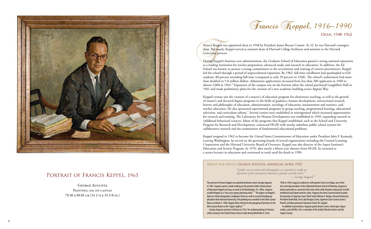

### PORTRAIT OF FRANCIS KEPPEL, 1965

Francis Reppel, 1916-1990

DEAN. 1948-1962

Francis Keppel was appointed dean in 1948 by President James Bryant Conant. At 32, he was Harvard's youngest dean. Previously, Keppel served as assistant dean of Harvard College freshmen and assistant to the Harvard University provost.

During Keppel's fourteen year administration, the Graduate School of Education gained a strong national reputation as a leading institution for teacher preparation, advanced study, and research in education. In addition, the Ed School was known to possess a strong commitment to the recruitment and training of current practitioners. Keppel led the school through a period of unprecedented expansion. By 1962, full-time enrollment had quadrupled to 620 students, 80 percent attending full-time (compared to only 39 percent in 1948). The school's endowment had more than doubled to 5.8 million dollars. Admissions applications increased from less than 200 applicants in 1948 to almost 2,000 in 1962.<sup>20</sup> Expansion of the campus was on the horizon when the school purchased Longfellow Hall in 1961 and made preliminary plans for the creation of a new academic building across Appian Way.

Keppel's tenure saw the creation of a master's of education program for elementary teaching, as well as the growth of master's and doctoral degree programs in the fields of guidance, human development, instructional research, history and philosophy of education, administration, sociology of education, measurement and statistics, and teacher education. He also sponsored experimental programs in group teaching, programmed learning, educational television, and curriculum reform.<sup>21</sup> Several centers were established or reinvigorated which increased opportunities for research and training. The Laboratory for Human Development was established in 1949, expanding research in childhood behavioral sciences. Many of the programs that Keppel established, such as the School and University Program for Research and Development, connected HGSE with nearby suburban public school systems for collaborative research and the examination of fundamental educational problems.

Keppel resigned in 1962 to become the United States Commissioner of Education under President John F. Kennedy. Leaving Washington, he served on the governing boards of several organizations including the General Learning Corporation and the Harvard University Board of Overseers. Keppel was also director of the Aspen Institute's Education and Society Program. In 1976, after nearly a fifteen year absence from HGSE, he returned as a senior lecturer in education and continued to teach until his death in 1990.

The portrait of Francis Keppel was painted by Boston native George Augusta in 1965. Augusta spent a week working on the portrait while Commissioner of Education Keppel was busy at work in his Washington, D.C. office. Augusta recalled Keppel as a "very easy-going charming sitter." <sup>23</sup> The papers on Keppel's desk are School integration compliance forms as well as research funding applications from Harvard University. The painting was unveiled in the Eliot-Lyman Room on March 5, 1966. Keppel often referred to the grouping of portraits in the Eliot-Lyman Room as the "roques' gallery."  $24$ 1946 to 1950, Augusta studied art with painter Ernest Lee Major, one of the last surviving members of the influential Boston School of Painting. Augusta is known primarily as a portrait artist who works with oil paints and pastels in both traditional and impressionistic styles. Augusta has been commissioned to paint the portraits of Supreme Court Chief Justice Warren E. Berger, Harvard University President Derek Bok, First Lady Rosalyn Carter, Supreme Court Justice Lewis E. Powell, and Massachusetts Governor Francis W. Sargent. In addition to portraiture, Augusta paints beach scenes, landscapes, figure

 George Augusta was born in Boston in 1922. He studied painting in Florence while serving in the United States Army in Italy during World War II. From studies, and still lifes. He is a member of the Guild of Boston Artists and the Copley Society.

### About the Artist: George Augusta, American, born 1922

*"I prefer not to work with photographs, as a portrait is really an expression of the interaction between a painter and the sitter."* 

George Augusta PAINTING, OIL ON CANVAS 79.38 x 89.85 cm (31 1/4 x 35 3/8 in.)

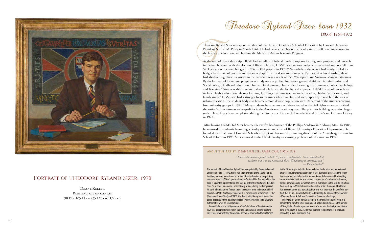

### PORTRAIT OF THEODORE RYLAND SIZER, 1972

Theodore Ryland Sizer was appointed dean of the Harvard Graduate School of Education by Harvard University President Nathan M. Pusey in March 1964. He had been a member of the faculty since 1960, teaching courses in the history of education, and heading the Master of Arts in Teaching Program.

At the start of Sizer's deanship, HGSE had an influx of federal funds to support its programs, projects, and research initiatives; however, with the election of Richard Nixon, HGSE faced serious budget cuts as federal support fell from 57.3 percent of the total budget in 1966 to 39.8 percent in 1970.<sup>25</sup> Nevertheless, the school had nearly tripled its budget by the end of Sizer's administration despite the fiscal strains on income. By the end of his deanship, there had also been significant revisions to the curriculum as a result of the 1966 report, *The Graduate Study in Education*. By the last year of his tenure, programs of study were organized into seven general divisions: Administration and Social Policy, Childhood Education, Human Development, Humanities, Learning Environments, Public Psychology, and Teaching.<sup>26</sup> Sizer was able to recruit talented scholars to the faculty and expanded HGSE's areas of research to include: higher education, lifelong learning, learning environments, law and education, children's education, and family study.<sup>27</sup> HGSE also had a stronger focus on issues related to class and race, especially research in the area of urban education. The student body also became a more diverse population with 18 percent of the students coming from minority groups in 1971.<sup>28</sup> Many students became more activist-oriented as the civil rights movement raised the nation's consciousness to inequalities in the American education system. The plans for building expansion begun under Dean Keppel saw completion during the Sizer years: Larsen Hall was dedicated in 1965 and Gutman Library in 1972.

 After leaving HGSE, Ted Sizer became the twelfth headmaster of the Phillips Academy in Andover, Mass. In 1983, he returned to academia becoming a faculty member and chair of Brown University's Education Department. He founded the Coalition of Essential Schools in 1983 and became the founding director of the Annenberg Institute for School Reform in 1993. Sizer returned to the HGSE faculty as a visiting professor of education in 1997.

> *"I am not a modern painter at all. My work is naturalistic. Some would call it realistic, but it is not necessarily that. All painting is interpretation."* — Deane Keller<sup>29</sup>

PAINTING, OIL ON CANVAS 90.17 x 105.41 cm (35 1/2 x 41 1/2 in.)

 Deane Keller was a 1926 graduate of the Yale School of Fine Arts and in 1929 was appointed instructor in painting and drawing. Keller's teaching career was interrupted by his wartime service as a fine arts officer attached

Theodore Ryland Sizer, born 1932

DEAN. 1964-1972

The portrait of Dean Theodore Ryland Sizer was painted by Deane Keller and unveiled on June 14, 1972. Keller was a family friend of the Sizer's and, at the time, professor emeritus of art at Yale. Objects depicted in the painting represent aspects of Sizer's personal and professional life. The rug behind the dean is a painted representation of a real rug stitched by his father, Theodore Sizer, Sr., a professor emeritus of art history at Yale, during the first years of his son's administration. The rug shows the coat of arms and mottos of both Harvard and Yale. Another personal touch is the inclusion of the initials "TRS" (Theodore Ryland Sizer) and "NFS" (the dean's wife, Nancy Faust Sizer). The books displayed on the desk include Sizer's *Moral Education* and his father's authoritative work on John Trumbull. to the Fifth Army in Italy. His duties included the location and protection of art treasures, emergency restoration to war-damaged pieces, and the return to museums of art stolen by the German Army. Keller resumed his teaching career at Yale in 1946. He was a staunch supporter of traditional techniques, despite some opposing views from certain colleagues on the faculty. He retired from teaching in 1970 but remained an active artist. Throughout his life he had a second career as a portrait painter and was known as the unofficial portraitist of the Yale University faculty. Additionally, he painted official portraits of Senator Robert A. Taft and Connecticut Governor John Lodge. Following the Dutch portrait tradition, many of Keller's colors were of a somber tone with the sitter wearing dark-colored clothing. As in the portrait

of Sizer, Keller often incorporated a coat of arms into the background. By the time of his death in 1992, Keller had painted 160 portraits of individuals connected in some manner to Yale.

### About the Artist: Deane Keller, American, 1901–1992

Deane Keller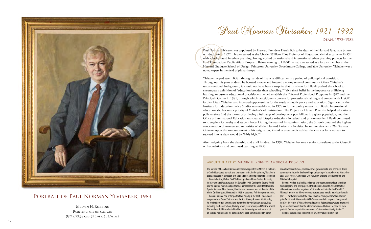# Paul Norman Gluisaker, 1921-1992

DEAN. 1972-1982

did courtroom sketches to get out of his studio and into the "real" world.<sup>32</sup> Although most of his fellow courtroom artists used pencils, pastels and sketch pads — the typical tools of the trade, Robbins employed canvas and acrylic paint for his work. His work for WBZ-TV was awarded a regional Emmy Award in 1979. University of Massachusetts President Robert Woods was so impressed by his courtroom work that he later commissioned Robbins to paint his own portrait. This led to portrait commissions of other university dignitaries.<sup>33</sup>

Ylvisaker helped steer HGSE through a tide of financial difficulties in a period of philosophical transition. Throughout his years as dean, he boosted morale and fostered a strong sense of community. Given Ylvisaker's unconventional background, it should not have been a surprise that his vision for HGSE pushed the school to encompass a definition of "education broader than schooling."<sup>30</sup> Ylvisaker's belief in the importance of lifelong learning for current educational practitioners helped establish the Office of Professional Programs in 1977 and the Principals' Center in 1981, through which practitioners convene for professional training and contact with HSGE faculty. Dean Ylvisaker also increased opportunities for the study of public policy and education. Significantly, the Institute for Education Policy Studies was established in 1979 to further policy research at HGSE. International education also became a priority of Ylvisaker's administration: The Project for Human Potential helped educational policymakers find the means of achieving a full range of development possibilities in a given population, and the Office of International Education was created. Despite reductions in federal and private monies, HGSE continued to strengthen its faculty and student body. During the years of his administration, the School contained the highest concentration of women and minorities of all the Harvard University faculties. In an interview with *The Harvard Crimson*, upon the announcement of his resignation, Ylvisaker even predicted that the chances for a woman to succeed him as dean would be "fairly high."<sup>31</sup>

Paul Norman Ylvisaker was appointed by Harvard President Derek Bok to be dean of the Harvard Graduate School of Education in 1972. He also served as the Charles William Eliot Professor of Education. Ylvisaker came to HGSE with a background in urban planning, having worked on national and international urban planning projects for the Ford Foundation's Public Affairs Program. Before coming to HGSE he had also served as a faculty member at the Harvard Graduate School of Design, Princeton University, Swarthmore College, and Yale University. Ylvisaker was a noted expert in the field of philanthropy.

After resigning from the deanship and until his death in 1992, Ylvisaker became a senior consultant to the Council on Foundations and continued teaching at HGSE.

War he painted murals and portraits as a member of the United States Army Special Services. After the war, Robbins was president and art director of the White Card Company. He retired in 1968 to become a full-time portrait artist.

The portrait of Dean Paul Norman Ylvisaker was painted by Melvin H. Robbins, a Cambridge-based portrait and courtroom artist. In the painting, Ylvisaker is depicted seated in a wooden arm chair against a neutral-colored background. Born in Boston, Melvin "Mel" Robbins graduated from Boston University in 1939 and the Massachusetts Art School in 1941. During the Second World educational institutions, local and state governments, and hospitals. These commissions include: Lesley College, University of Massachusetts, Massachusetts State House, Cambridge City Hall, New England Medical Center, and Children's Hospital. Robbins worked as a highly acclaimed courtroom artist for local television news programs and newspapers. Phyllis Robbins, his wife, recalled that he

 Robbins painted two of the portraits on display in the Eliot-Lyman Room the portraits of Deans Ylvisaker and Patricia Albjerg Graham. Additionally, he received portrait commissions from other Harvard University faculties, including the Dental School, Divinity School, Law School, and Medical School. The medium Robbins selected for Harvard University portraiture was oil on canvas. Additionally, his portraits have been commissioned by other

Robbins passed away on November 24, 1999 at age eighty-one.

### About the Artist: Melvin H. Robbins, American, 1918–1999



### Portrait of Paul Norman Ylvisaker, 1984

Melvin H. Robbins Painting, oil on canvas 99.7 x 79.38 cm (39 1/4 x 31 1/4 in.)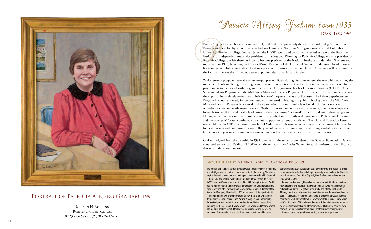

### PORTRAIT OF PATRICIA ALBJERG GRAHAM, 1991

DEAN, 1982-1991

Patrica Albjerg Graham became dean on July 1, 1982. She had previously directed Barnard College's Education Program and held faculty appointments at Indiana University, Northern Michigan University, and Columbia University's Teachers College. Graham joined the HGSE faculty and concurrently served as dean of the Radcliffe Institute for Independent Study, vice president for Institutional Planning for Radcliffe College, and vice president of Radcliffe College. She left these positions to become president of the National Institute of Education. She returned to Harvard in 1979, becoming the Charles Warren Professor of the History of American Education. In addition to her many accomplishments as dean, Graham's place in the historical annals of Harvard University will be secured by the fact that she was the first woman to be appointed dean of a Harvard faculty.

While research programs were always an integral part of HGSE during Graham's tenure, she re-established strong ties to public schools and brought a strong focus on education practice back to the curriculum. Graham attracted future practitioners to the School with programs such as the Undergraduate Teacher Education Program (UTEP), Urban Superintendents Program, and the MidCareer Math and Sciences Program. UTEP offers the Harvard undergraduate the opportunity to simultaneously earn their bachelor's degree and educator licensure. The Urban Superintendents Program is a course of study for doctoral students interested in leading city public school systems. The MidCareer Math and Science Program is designed to draw professionals from technically oriented fields into careers as secondary science and mathematics teachers. With the renewed interest in teacher training, new partnerships were forged between HGSE and local school districts, thereby securing "fieldwork" sites for students in those programs. During her tenure, new outreach programs were established and strengthened. Programs in Professional Education and the Principals' Center continued curriculum support to current practitioners. The Harvard Education Letter was established in 1985 as a means to reach K–12 educators. This newsletter became a concise source of information for new research and innovative practices. The years of Graham's administration also brought stability to the senior faculty as a ten year moratorium on granting tenure was lifted with nine new tenured appointments.

> portrait. This led to portrait commissions of other university dignitaries.<sup>35</sup> Robbins passed away on November 24, 1999 at age eighty-one.

Graham resigned from the deanship in 1991, after which she served as president of the Spencer Foundation. Graham continued to teach at HGSE until 2006 when she retired as the Charles Warren Research Professor of the History of American Education, Emerita.

in 1939 and the Massachusetts Art School in 1941. During the Second World War he painted murals and portraits as a member of the United States Army Special Services. After the war, Robbins was president and art director of the White Card Company. He retired in 1968 to become a full-time portrait artist.

The portrait of Dean Paul Norman Ylvisaker was painted by Melvin H. Robbins, a Cambridge-based portrait and courtroom artist. In the painting, Ylvisaker is depicted seated in a wooden arm chair against a neutral-colored background. Born in Boston, Melvin "Mel" Robbins graduated from Boston University educational institutions, local and state governments, and hospitals. These commissions include: Lesley College, University of Massachusetts, Massachusetts State House, Cambridge City Hall, New England Medical Center, and Children's Hospital.

 Robbins painted two of the portraits on display in the Eliot-Lyman Room the portraits of Deans Ylvisaker and Patricia Albjerg Graham. Additionally, he received portrait commissions from other Harvard University faculties, including the Dental School, Divinity School, Law School, and Medical School. The medium Robbins selected for Harvard University portraiture was oil on canvas. Additionally, his portraits have been commissioned by other

 Robbins worked as a highly acclaimed courtroom artist for local television news programs and newspapers. Phyllis Robbins, his wife, recalled that he did courtroom sketches to get out of his studio and into the "real" world.  $34$ Although most of his fellow courtroom artists used pencils, pastels and sketch pads — the typical tools of the trade, Robbins employed canvas and acrylic paint for his work. His work for WBZ-TV was awarded a regional Emmy Award in 1979. University of Massachusetts President Robert Woods was so impressed by his courtroom work that he later commissioned Robbins to paint his own

### About the Artist: Melvin H. Robbins, American, 1918–1999

Melvin H. Robbins Painting, oil on canvas 82.23 x 66.68 cm (32 3/8 x 26 1/4 in.)

Patricia Albjerg Graham, born 1935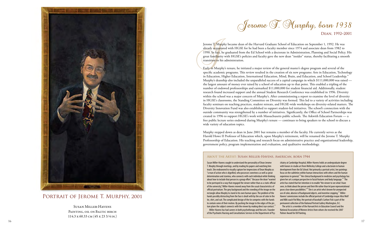Jerome T. Murphy became dean of the Harvard Graduate School of Education on September 1, 1992. He was already acquainted with HGSE for he had been a faculty member since 1974 and associate dean from 1982 to 1990. In fact, he graduated from the Ed School with a doctorate in Administration, Planning and Social Policy. His great familiarity with HGSE's policies and faculty gave the new dean "insider" status, thereby facilitating a smooth transition to his administration.

Early in Murphy's tenure, he initiated a major review of the general master's degree program and several of the specific academic programs. This review resulted in the creation of six new programs: Arts in Education, Technology in Education, Higher Education, International Education, Mind, Brain, and Education, and School Leadership.<sup>36</sup> Murphy's deanship also included the unparalleled success of a capital campaign in which \$111,000,000 was raised the largest amount of money ever raised by a school of education up to that point. This enabled a tripling of the number of endowed professorships and earmarked \$11,000,000 for student financial aid. Additionally, student research found increased support and the annual Student Research Conference was established in 1996. Diversity within the school was a major concern of Murphy's. After commissioning a report to examine the level of diversity in HGSE's classrooms, the Standing Committee on Diversity was formed. This led to a variety of activities including faculty seminars on teaching practices, student retreats, and HGSE-wide workshops on diversity-related matters. The Diversity Innovation Fund was also established to support student-led initiatives. The school's connection with the outside community was strengthened by a number of initiatives. Significantly, the Office of School Partnerships was created in 1996 to support HGSE's work with Massachusetts public schools. The Askwith Education Forum — a free public lecture series endowed during Murphy's tenure — continues to bring speakers to the school to discuss a wide variety of education topics.

Murphy stepped down as dean in June 2001 but remains a member of the faculty. He currently serves as the Harold Howe II Professor of Education which, upon Murphy's retirement, will be renamed the Jerome T. Murphy Professorship of Education. His teaching and research focus on administrative practice and organizational leadership, government policy, program implementation and evaluation, and qualitative methodology.

Susan Miller-Havens sought to understand the personality of Dean Jerome T. Murphy through meetings, and by reading his papers and watching him teach. She endeavored to visually capture her impressions of Dean Murphy as "a man of action who is dignified, who possesses sweetness as well as great determination and stamina, who connects with each individual while thinking about how to include that person in a group effort." Because the dean "wanted to be portrayed in a way that engaged the viewer rather than as a static official of the university," Miller-Havens moved away from the usual characteristics of official portraiture. The grey background and the crowding of the image on the rectangle allow Murphy to stand in his own human space. The problem of the hands possibly distracting from the face is dealt with by the use of color in the tie, shirt, and suit. The complicated design of the tie competes with the hands to contain some of their motion. By pushing the image to the edges of the pic ture plane the subject connects with the viewer by making direct eye contact.<sup>3</sup> Miller-Havens has had careers in both psychotherapy and fine arts. Founder

of the Psychiatric Nursing and Consultations Services in the Department of Psy -

Jerame T. Murphy, born 1938

DEAN, 1992-2001

chiatry at Cambridge Hospital, Miller-Havens holds an undergraduate degree with honors in studio art from Wellesley College and a doctorate in human development from the Ed School. Not primarily a portrait artist, her paintings focus on the subtleties within human interactions with others and the human experience in general. $38$  Her clinical background in medicine and psychology has given her art a unique perspective in facial features and body language. $^{39}$  The artist has stated that her intention is to enable "the viewer to see what I have seen, to think about the person and their life rather than let pure representational poses close down possibilities."<sup>40</sup> She is an artist who's known for unexpected use of color, absence of background objects, and inventive cropping. $^{\rm 41}$  Miller-Havens' commissions include the official portrait of Cambridge mayor Alice Wolf and NBA coach Pat Riley. Her portrait of baseball's Carlton Fisk is part of the permanent collection of the National Portrait Gallery Washington, D.C.

 The artist is a member of the Harvard Arts in Education Council and the National Association of Women Artists from whom she received the 2007 Palmer Award for Oil Painting.

### About the Artist: Susan Miller-Havens, American, born 1944



PORTRAIT OF JEROME T. MURPHY, 2001

Susan Miller-Havens PAINTING, OIL ON BALTIC BIRCH 114.3 x 60.33 cm (45 x 23 3/4 in.)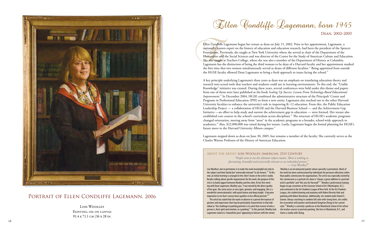Ellen Condliffe Lagemann began her tenure as dean on July 15, 2002. Prior to her appointment, Lagemann, a nationally known expert on the history of education and education research, had been the president of the Spencer Foundation. Previously, she taught at New York University where she served as chair of the Department of the Humanities and the Social Sciences and was director of the Center for the Study of American Culture and Education. She also taught at Teachers College, where she was also a member of the Department of History at Columbia. Lagemann has the distinction of being the third woman to be dean of a Harvard faculty and her appointment marked the first time that two women simultaneously served as deans of different faculties. $^\text{\tiny 42}$  Being appointed from outside the HGSE faculty allowed Dean Lagemann to bring a fresh approach to issues facing the school.<sup>43</sup>

A key principle underlying Lagemann's three years as dean was an emphasis on translating education theory and research into actual tools that teachers and students could use in learning environments. To this end, the "Usable Knowledge" initiative was created. During these years, several conferences were held under this theme and papers from one of them were later published as the book *Scaling Up Success: Lessons From Technology-Based Educational Improvement*. <sup>44</sup> In December 2004, HGSE combined the administrative structure of the Principals' Center and Programs in Professional Education (PPE) to form a new entity. Lagemann also reached out to the other Harvard University faculties to enhance the university's role in improving K–12 education. From this, the Public Education Leadership Project — a collaboration of HGSE and the Harvard Business School — and the Achievement Gap Initiative —an effort to help study and narrow the achievement gap in education — were formed. Her tenure also established core courses in the school's curriculum across disciplines.<sup>45</sup> The structure of HGSE's academic programs changed orientation, moving away from "areas" in the academic programs to a broader, school-wide approach to academics.<sup>46</sup> Also, \$22,000,000 was raised during her tenure. Lastly, Lagemann began the formal planning for HGSE's future move to the Harvard University Allston campus. $47$ 

> *"People seem to me the ultimate subject matter. There is nothing so fascinating, beautiful and universally relevant as an individual person."* — Lois Woolley<sup>48</sup>

Lagemann stepped down as dean on June 30, 2005, but remains a member of the faculty. She currently serves as the Charles Warren Professor of the History of American Education.

Lois Woolley's aim in portraiture is to make the work meaningful not only to the subject and their family but "universally relevant" to all viewers.<sup>49</sup> To this end, an initial meeting is arranged in the sitter's home or the artist's studio. Besides talking about specific requirements for the work, the purpose of this visit is to build rapport between Woolley and the sitter. At her first meeting with Dean Lagemann, Woolley says, "I was moved by the direct quality of her gaze. She came across as very open, genuine, and engaging. She is a wonderful conversationalist, with quick humor and deep insight. It became imperative to me that I convey these qualities in her official portrait." $50$  The artist has stated that she wants to observe in a person the nuances of gestures and expressions that may be particularly characteristic in that individual as "the challenge in painting portraits is to catch that essence of who a person is, their spirit and emotion, in a painting."<sup>51</sup> In this portrait, Woolley had Lagemann stand in a "naturalistic pose" appearing to interact with the viewer. Woolley is an oil and pastel painter whose specialty is portraiture. Much of her work has been commissioned by individuals for personal collections rather than public commissions for organizations. The artist was especially excited by this commission as a portrait of a dean is "always a great addition to a portrait artist's portfolio" and "this was for Harvard!"<sup>52</sup> Woolley's professional training began at age seventeen at the Corcoran School of Art (Washington, D.C.) and continued at the Art Students League of New York. At the Art Students League, she studied drawing and anatomy with Robert Beverly Hale and painting with Robert Brackman. Additionally, she studied under Daniel E. Greene. Always searching to combine full color with strong form, she credits her association with painter and husband Hongnian Zhang to her current style.<sup>53</sup> Woolley is currently a professor at the Woodstock School of Art where she teaches courses in portrait painting. She lives in Woodstock, N.Y., and shares a studio with Zhang.

DEAN. 2002-2005

### About the Artist: Lois Woolley, American, 21st Century



### Portrait of Ellen Condliffe Lagemann, 2006

Lois Woolley Painting, oil on canvas 91.4 x 71.1 cm (36 x 28 in.

Ellen Candliffe Lagemann, born 1945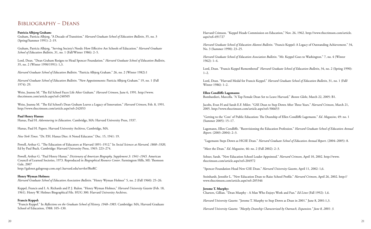Harvard Crimson. "Keppel Heads Commission on Education," Nov. 26, 1962. http://www.thecrimson.com/article. aspx?ref=491727

Lord, Dean. "Francis Keppel Remembered" *Harvard Graduate School of Education Bulletin*, 34, no. 2 (Spring 1990):  $1-2.$ 

*Harvard Graduate School of Education Alumni Bulletin*. "Francis Keppel: A Legacy of Outstanding Achievement." 34, No. 3 (Summer 1990): 23–25.

*Harvard Graduate School of Education Association Bulletin*. "Mr. Keppel Goes to Washington." 7, no. 4 (Winter 1962): 1–4.

Lord, Dean. "Harvard Medal for Francis Keppel." *Harvard Graduate School of Education Bulletin*, 31, no. 1 (Fall/ Winter 1986): 1–2.

#### **Ellen Condliffe Lagemann:**

Bombardieri, Marcella. "A Top Female Dean Set to Leave Harvard." *Boston Globe*, March 22, 2005: B1.

Jacobs, Evan H and Sarah E.F. Milov. "GSE Dean to Step Down After Three Years." *Harvard Crimson*, March 21, 2005. http://www.thecrimson.com/article.aspx?ref=506653

"Getting to the 'Core' of Public Education: The Deanship of Ellen Condliffe Lagemann." *Ed. Magazine*, 49: no. 1 (Summer 2005): 15–17.

Lagemann, Ellen Condliffe. "Reenvisioning the Education Profession." *Harvard Graduate School of Education Annual Report*. (2003–2004): 2–3.

 "Lagemann Steps Down as HGSE Dean." *Harvard Graduate School of Education Annual Report*. (2004–2005): 8. "Meet the Dean." *Ed. Magazine*, 46: no. 2 (Fall 2002): 2–3.

Seltzer, Sarah. "New Education School Leader Appointed." *Harvard Crimson*, April 10, 2002. http://www. thecrimson.com/article.aspx?ref=204972

"Spencer Foundation Head New GSE Dean." *Harvard University Gazette*, April 11, 2002: 1,6.

Steinhardt, Jennifer L. "New Education Dean to Raise School Profile." *Harvard Crimson*, April 26, 2002. http:// www.thecrimson.com/article.aspx?ref=205346

**Jerome T. Murphy:** Charters, Gillian. "Dean Murphy - A Man Who Enjoys Work and Fun." *Ed Lines* (Fall 1992): 1,6.

*Harvard University Gazette*. "Jerome T. Murphy to Step Down as Dean in 2001." June 8, 2001:1,3.

*Harvard University Gazette. "Murphy Deanship Characterized by Outreach, Expansion." June 8, 2001: 3.*

## Bibliography – Deans

### **Patricia Albjerg Graham:**

Graham, Patricia Albjerg. "A Decade of Transition." *Harvard Graduate School of Education Bulletin*, 35, no. 3 (Spring/Summer 1991): 2–19.

Graham, Patricia Albjerg. "Serving Society's Needs: How Effective Are Schools of Education." *Harvard Graduate School of Education Bulletin*, 31, no. 1 (Fall/Winter 1986): 2–5.

Lord, Dean. "Dean Graham Resigns to Head Spencer Foundation." *Harvard Graduate School of Education Bulletin*, 35, no. 2 (Winter 1990/1991): 1,3.

*Harvard Graduate School of Education Bulletin*. "Patricia Albjerg Graham." 26, no. 2 (Winter 1982):1

*Harvard Graduate School of Education Bulletin*. "New Appointments: Patricia Albjerg Graham." 19, no. 1 (Fall 1974): 29.

Weiss, Joanna M. "The Ed School Faces Life After Graham." *Harvard Crimson*, June 6, 1991. http://www. thecrimson.com/article.aspx?ref=240505

Weiss, Joanna M. "The Ed School's Dean Graham Leaves a Legacy of Innovation." *Harvard Crimson*, Feb. 8, 1991. http://www.thecrimson.com/article.aspx?ref=242053

### **Paul Henry Hanus:**

Hanus, Paul H. *Adventuring in Education*. Cambridge, MA: Harvard University Press, 1937.

Hanus, Paul H. Papers. Harvard University Archives, Cambridge, MA.

*New York Times*. "Dr. P.H. Hanus Dies: A Noted Educator." Dec. 15, 1941: 19.

Powell, Arthur G. "The Education of Educators at Harvard 1891–1912." In *Social Sciences at Harvard, 1860–1920*, Ed by Paul Buck. Cambridge: Harvard University Press, 1965: 223–274.

Powell, Arthur G. "Paul Henry Hanus." *Dictionary of American Biography, Supplement 3: 1941–1945.* American Council of Learned Societies, 1973. Reproduced in *Biographical Resource Center*. Farmington Hills, MI: Thomson Gale, 2007

http://galenet.galegroup.com.ezp1.harvard.edu/servlet/BioRC

### **Henry Wyman Holmes:**

*Harvard Graduate School of Education Association Bulletin*. "Henry Wyman Holmes" 5, no. 2 (Fall 1960): 25–26.

Keppel, Francis and I. A. Richards and P. J. Rulon. "Henry Wyman Holmes," *Harvard University Gazette* (Feb. 18, 1961). Henry W. Holmes Biographical File. HUG 300. Harvard University Archives.

### **Francis Keppel:**

"Francis Keppel." In *Reflections on the Graduate School of History, 1948–1985*. Cambridge: MA, Harvard Graduate School of Education, 1988: 105–130.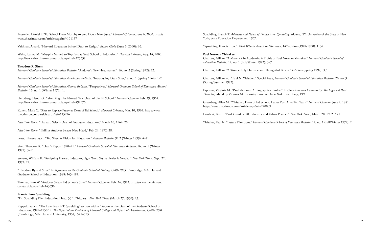Spaulding, Francis T. *Addresses and Papers of Francis Trow Spaulding*. Albany, NY: University of the State of New York; State Education Department, 1967.

"Spaulding, Francis Trow." *Who's Who in American Education*, 14<sup>th</sup> edition (1949/1950): 1132.

#### **Paul Norman Ylvisaker:**

Charters, Gillian. "A Maverick in Academia: A Profile of Paul Norman Ylvisaker." *Harvard Graduate School of Education Bulletin*, 17, no. 1 (Fall/Winter 1972): 3–7.

Charters, Gillian. "A Wonderfully Humane and Thoughtful Person." *Ed Lines* (Spring 1992): 3,6.

Charters, Gillian, ed. "Paul N. Ylvisaker." Special issue, *Harvard Graduate School of Education Bulletin*, 26, no. 3 (Spring/Summer 1982).

Esposito, Virginia M. "Paul Ylvisaker: A Biographical Profile." In *Conscience and Community: The Legacy of Paul Ylvisaker*, edited by Virginia M. Esposito, xv–xxxvi. New York: Peter Lang, 1999.

Greenberg, Allen M. "Ylvisaker, Dean of Ed School, Leaves Post After Ten Years." *Harvard Crimson*, June 2, 1981. http://www.thecrimson.com/article.aspx?ref=270009

Lambert, Bruce. "Paul Ylvisaker, 70, Educator and Urban Planner." *New York Times*, March 20, 1992: A21.

Ylvisaker, Paul N. "Future Directions." *Harvard Graduate School of Education Bulletin*, 17, no. 1 (Fall/Winter 1972): 2.

Mosteller, Daniel P. "Ed School Dean Murphy to Step Down Next June." *Harvard Crimson*, June 6, 2000. http:// www.thecrimson.com/article.aspx?ref=101137

Vaishnav, Anand. "Harvard Education School Dean to Resign." *Boston Globe* (June 6, 2000): B5.

Weiss, Joanna M. "Murphy Named to Top Post at Grad School of Education." *Harvard Crimson*, Aug. 14, 2000. http://www.thecrimson.com/article.aspx?ref=225338

#### **Theodore R. Sizer:**

*Harvard Graduate School of Education Bulletin*. "Andover's New Headmaster." 16, no. 2 (Spring 1972): 42.

*Harvard Graduate School of Education Association Bulletin*. "Introducing Dean Sizer," 9, no. 1 (Spring 1964): 1-2.

*Harvard Graduate School of Education Alumni Bulletin*. "Perspectives." *Harvard Graduate School of Education Alumni Bulletin*, 16, no. 1 (Winter 1972): 1.

Hertzberg, Hendrick. "Sizer Might be Named New Dean of the Ed School." *Harvard Crimson*, Feb. 29, 1964. http://www.thecrimson.com/article.aspx?ref=492576

Kunen, Mark C. "Sizer to Replace Pusey as Dean of Ed School." *Harvard Crimson*, Mar. 10, 1964. http://www. thecrimson.com/article.aspx?ref=125476

*New York Times*, "Harvard Selects Dean of Graduate Education," March 10, 1964: 26.

*New York Times*, "Phillips Andover Selects New Head," Feb. 24, 1972: 28.

Pease, Theresa Fucci. "Ted Sizer: A Vision for Education." *Andover Bulletin*, 92:2 (Winter 1999): 4–7.

Sizer, Theodore R. "Dean's Report 1970–71." *Harvard Graduate School of Education Bulletin*, 16, no. 1 (Winter 1972): 3–11.

Stevens, William K. "Resigning Harvard Educator, Fight Won, Says a Healer is Needed." *New York Times*, Sept. 22, 1972: 27.

"Theodore Ryland Sizer." In *Reflections on the Graduate School of History, 1948–1985*. Cambridge: MA, Harvard Graduate School of Education, 1988: 165–182.

Thomas, Evan W. "Andover Selects Ed School's Sizer." *Harvard Crimson*, Feb. 24, 1972. http://www.thecrimson. com/article.aspx?ref=143396

#### **Francis Trow Spaulding:**

"Dr. Spaulding Dies; Education Head, 53" [Obituary]. *New York Times* (March 27, 1950): 23.

Keppel, Francis. "The Late Francis T. Spaulding" section within "Report of the Dean of the Graduate School of Education, 1949–1950" in *The Report of the President of Harvard College and Reports of Departments, 1949–1950*  (Cambridge, MA: Harvard University, 1954): 571–573.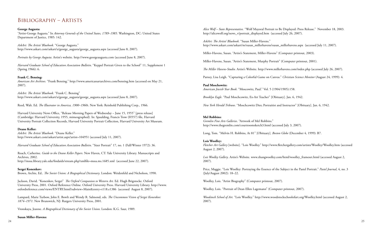*Alice Wolf – State Representative.* "Wolf Mayoral Portrait to Be Displayed: Press Release." November 18, 2003. http://alicewolf.org/news\_v/portrait\_displayed.htm (accessed July 26, 2007).

*AskArt: The Artists' Bluebook*. "Susan Miller-Havens." http://www.askart.com/askart/m/susan\_millerhavens/susan\_millerhavens.aspx (accessed July 11, 2007).

Miller-Havens, Susan. "Artist's Statement, Miller-Havens" (Computer printout, 2003).

Miller-Havens, Susan. "Artist's Statement, Murphy Portrait" (Computer printout, 2001).

*The Miller Havens-Studio.* Artist's Website. http://www.millerhavens.com/index.php (accessed July 26, 2007).

Parney, Lisa Leigh. "Capturing a Colorful Game on Canvas." *Christian Science Monitor* (August 24, 1999): 4.

**Paul Moschowitz:**

*American Jewish Year Book*. "Moscowitz, Paul." Vol. 5 (1904/1905):158.

*Brooklyn Eagle*. "Paul Moschcowitz, Ex-Art Teacher" [Obituary]. Jan. 6, 1942.

*New York Herald Tribune*. "Moschcowitz Dies; Portraitist and Instructor" [Obituary]. Jan. 6, 1942.

### **Mel Robbins:**

*Gremlin Fine Arts Galleries*. "Artwork of Mel Robbins." http://www.thegremlin.com/courtroomsketch3.html (accessed July 3, 2007).

Long, Tom. "Melvin H. Robbins, At 81" [Obituary]. *Boston Globe* (December 4, 1999): B7.

### **Lois Woolley:**

*Fletcher Art Gallery* [website]. "Lois Woolley." http://www.fletchergallery.com/artists/Woolley/Woolley.htm (accessed August 2, 2007).

*Lois Woolley Gallery*. Artist's Website. www.zhangwoolley.com/html/woolley\_frameset.html (accessed August 2, 2007).

Price, Maggie. "Lois Woolley: Portraying the Essence of the Subject in the Pastel Portrait." *Pastel Journal*, 4, no. 3 (July/August 2002): 18–22.

Woolley, Lois. "Artist Biography" (Computer printout, 2007).

Woolley, Lois. "Portrait of Dean Ellen Lagemann" (Computer printout, 2007).

*Woodstock School of Art.* "Lois Woolley." http://www.woodstockschoolofart.org/Woolley.html (accessed August 2, 2007).

### Bibliography – Artists

#### **George Augusta:**

"Artist-George Augusta." In *Attorney Generals of the United States, 1789–1985.* Washington, DC: United States Department of Justice, 1985: 142.

*AskArt: The Artists' Bluebook.* "George Augusta." http://www.askart.com/askart/a/george\_augusta/george\_augusta.aspx (accessed June 8, 2007).

*Portraits by George Augusta*. Artist's website. http://www.georgeaugusta.com (accessed June 8, 2007).

*Harvard Graduate School of Education Association Bulletin*. "Keppel Portrait Given to the School" 11, Supplement 1 (Spring 1966): 6.

#### **Frank C. Bensing:**

*American Art Archives.* "Frank Bensing." http://www.americanartarchives.com/bensing.htm (accessed on May 21, 2007).

*AskArt: The Artists' Bluebook.* "Frank C. Bensing" http://www.askart.com/askart/a/george\_augusta/george\_augusta.aspx (accessed June 8, 2007).

Reed, Walt. Ed. *The Illustrator in America, 1900–1960s*. New York: Reinhold Publishing Corp., 1966.

Harvard University News Office, "Release Morning Papers of Wednesday – June 15, 1955" [press release] (Cambridge: Harvard University, 1955, mimeographed). In: Spaulding, Francis Trow (H557) file, Harvard University Portrait Collection Records, Harvard University Portrait Collection, Harvard University Art Museum.

#### **Deane Keller:**

*AskArt: The Artists' Bluebook.* "Deane Keller." http://www.askart.com/askart/artist.aspx?artist=104951 (accessed July 11, 2007).

*Harvard Graduate School of Education Association Bulletin*. "Sizer Portrait" 17, no. 1 (Fall/Winter 1972): 36.

Roach, Catherine. *Guide to the Deane Keller Papers*. New Haven, CT: Yale University Library. Manuscripts and Archives, 2002. http://mssa.library.yale.edu/findaids/stream.php?xmlfile=mssa.ms.1685.xml (accessed June 22, 2007).

**Sergei Konenkov:** Brown, Archie, Ed.. *The Soviet Union: A Biographical Dictionary*. London: Weidenfeld and Nicholson, 1990.

Jackson, David. "Konenkov, Sergei" *The Oxford Companion to Western Art.* Ed. Hugh Brigstocke. Oxford University Press, 2001. Oxford Reference Online. Oxford University Press. Harvard University Library. http://www. oxfordreference.com/views/ENTRY.html?subview=Main&entry=t118.e1386 (accessed August 8, 2007).

Lampard, Marie Turbow, John E. Bowlt and Wendy R. Salmond, eds. *The Uncommon Vision of Sergei Konenkov: 1874–1971*. New Brunswick, NJ: Rutgers University Press, 2001.

Vronskaya, Jeanne. *A Biographical Dictionary of the Soviet Union*. London: K.G. Saur, 1989.

**Susan Miller-Havens:**